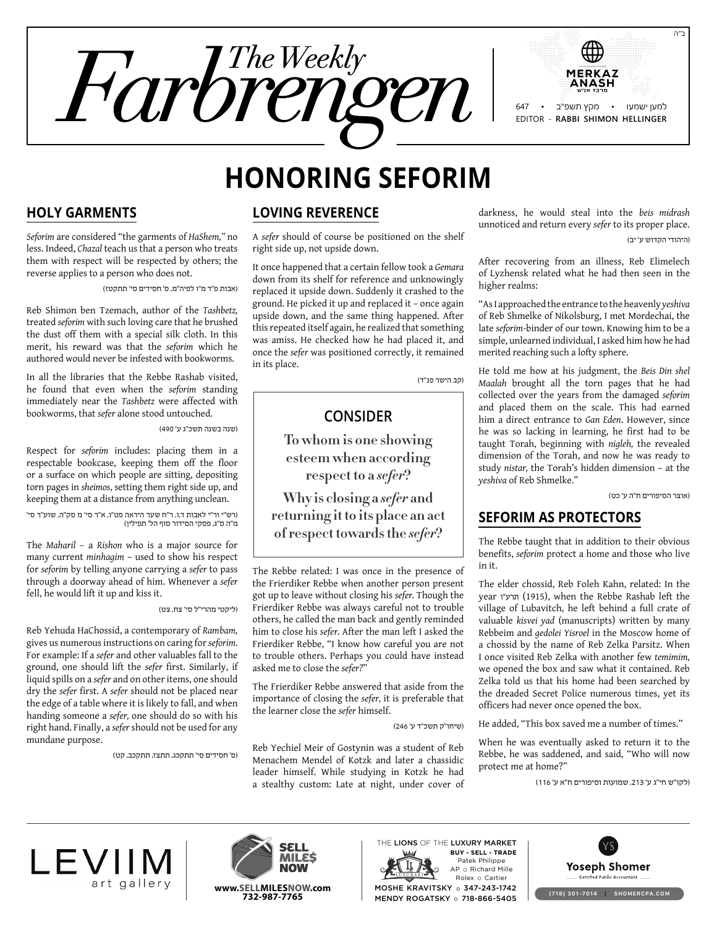

# **Honoring Seforim**

#### **Holy Garments**

*Seforim* are considered "the garments of *HaShem,"* no less. Indeed, *Chazal* teach us that a person who treats them with respect will be respected by others; the reverse applies to a person who does not.

)אבות פ"ד מ"ו לפיה"מ, ס' חסידים סי' תתקטז(

Reb Shimon ben Tzemach, author of the *Tashbetz,* treated *seforim* with such loving care that he brushed the dust off them with a special silk cloth. In this merit, his reward was that the *seforim* which he authored would never be infested with bookworms.

In all the libraries that the Rebbe Rashab visited, he found that even when the *seforim* standing immediately near the *Tashbetz* were affected with bookworms, that *sefer* alone stood untouched.

)שנה בשנה תשכ"ג ע' 490(

Respect for *seforim* includes: placing them in a respectable bookcase, keeping them off the floor or a surface on which people are sitting, depositing torn pages in *sheimos*, setting them right side up, and keeping them at a distance from anything unclean.

)רש"י ור"י לאבות ד,ו, ר"ח שער היראה פט"ו, א"ר סי' מ סק"ה, שוע"ר סי' מ"ה ס"ג, פסקי הסידור סוף הל' תפילין(

The *Maharil* – a *Rishon* who is a major source for many current *minhagim* – used to show his respect for *seforim* by telling anyone carrying a *sefer* to pass through a doorway ahead of him. Whenever a *sefer*  fell, he would lift it up and kiss it.

#### )ליקטי מהרי"ל סי' צח, צט(

Reb Yehuda HaChossid, a contemporary of *Rambam,* gives us numerous instructions on caring for *seforim.* For example: If a *sefer* and other valuables fall to the ground, one should lift the *sefer* first. Similarly, if liquid spills on a *sefer* and on other items, one should dry the *sefer* first. A *sefer* should not be placed near the edge of a table where it is likely to fall, and when handing someone a *sefer,* one should do so with his right hand. Finally, a *sefer* should not be used for any mundane purpose.

)ס' חסידים סי' תתקכג, תתצז, תתקכב, קט(

#### **Loving Reverence**

A *sefer* should of course be positioned on the shelf right side up, not upside down.

It once happened that a certain fellow took a *Gemara* down from its shelf for reference and unknowingly replaced it upside down. Suddenly it crashed to the ground. He picked it up and replaced it – once again upside down, and the same thing happened. After this repeated itself again, he realized that something was amiss. He checked how he had placed it, and once the *sefer* was positioned correctly, it remained in its place.

)קב הישר פנ"ד(

# **Consider**

**To whom is one showing esteem when according respect to a** *sefer***?**

**Why is closing a** *sefer* **and returning it to its place an act of respect towards the** *sefer***?**

The Rebbe related: I was once in the presence of the Frierdiker Rebbe when another person present got up to leave without closing his *sefer.* Though the Frierdiker Rebbe was always careful not to trouble others, he called the man back and gently reminded him to close his *sefer.* After the man left I asked the Frierdiker Rebbe, "I know how careful you are not to trouble others. Perhaps you could have instead asked me to close the *sefer?*"

The Frierdiker Rebbe answered that aside from the importance of closing the *sefer,* it is preferable that the learner close the *sefer* himself.

)שיחו"ק תשכ"ד ע' 246(

Reb Yechiel Meir of Gostynin was a student of Reb Menachem Mendel of Kotzk and later a chassidic leader himself. While studying in Kotzk he had a stealthy custom: Late at night, under cover of darkness, he would steal into the *beis midrash* unnoticed and return every *sefer* to its proper place. )היהודי הקדוש ע' יב(

After recovering from an illness, Reb Elimelech of Lyzhensk related what he had then seen in the higher realms:

"As I approached the entrance to the heavenly *yeshiva* of Reb Shmelke of Nikolsburg, I met Mordechai, the late *seforim*-binder of our town. Knowing him to be a simple, unlearned individual, I asked him how he had merited reaching such a lofty sphere.

He told me how at his judgment, the *Beis Din shel Maalah* brought all the torn pages that he had collected over the years from the damaged *seforim* and placed them on the scale. This had earned him a direct entrance to *Gan Eden*. However, since he was so lacking in learning, he first had to be taught Torah, beginning with *nigleh,* the revealed dimension of the Torah, and now he was ready to study *nistar,* the Torah's hidden dimension – at the *yeshiva* of Reb Shmelke."

)אוצר הסיפורים ח"ה ע' כט(

#### **Seforim as Protectors**

The Rebbe taught that in addition to their obvious benefits, *seforim* protect a home and those who live in it.

The elder chossid, Reb Foleh Kahn, related: In the year חרע"ו (1915), when the Rebbe Rashab left the village of Lubavitch, he left behind a full crate of valuable *kisvei yad* (manuscripts) written by many Rebbeim and *gedolei Yisroel* in the Moscow home of a chossid by the name of Reb Zelka Parsitz. When I once visited Reb Zelka with another few *temimim,* we opened the box and saw what it contained. Reb Zelka told us that his home had been searched by the dreaded Secret Police numerous times, yet its officers had never once opened the box.

He added, "This box saved me a number of times."

When he was eventually asked to return it to the Rebbe, he was saddened, and said, "Who will now protect me at home?"

)לקו"ש חי"ג ע' ,213 שמועות וסיפורים ח"א ע' 116(





Patek Philippe AP o Richard Mille Rolex O Cartier THE LIONS OF THE LUXURY MARKET MOSHE KRAVITSKY o 347-243-1742 MENDY ROGATSKY o 718-866-5405 **Buy - Sell - Trade**